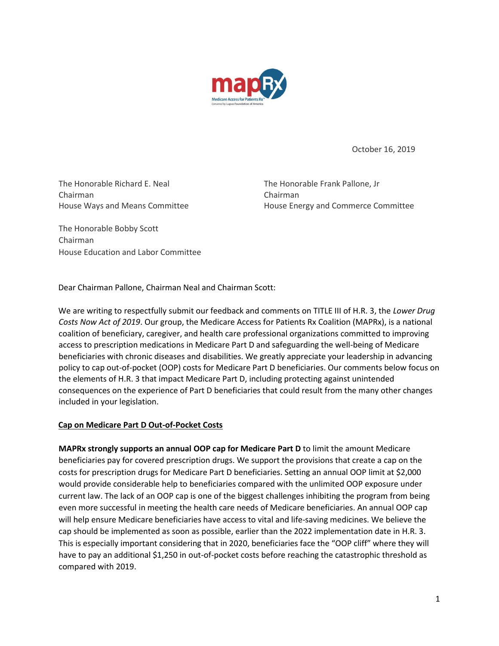

October 16, 2019

The Honorable Richard E. Neal The Honorable Frank Pallone, Jr Chairman Chairman

House Ways and Means Committee **House Energy and Commerce Committee** 

The Honorable Bobby Scott Chairman House Education and Labor Committee

Dear Chairman Pallone, Chairman Neal and Chairman Scott:

We are writing to respectfully submit our feedback and comments on TITLE III of H.R. 3, the *Lower Drug Costs Now Act of 2019*. Our group, the Medicare Access for Patients Rx Coalition (MAPRx), is a national coalition of beneficiary, caregiver, and health care professional organizations committed to improving access to prescription medications in Medicare Part D and safeguarding the well-being of Medicare beneficiaries with chronic diseases and disabilities. We greatly appreciate your leadership in advancing policy to cap out-of-pocket (OOP) costs for Medicare Part D beneficiaries. Our comments below focus on the elements of H.R. 3 that impact Medicare Part D, including protecting against unintended consequences on the experience of Part D beneficiaries that could result from the many other changes included in your legislation.

## **Cap on Medicare Part D Out-of-Pocket Costs**

**MAPRx strongly supports an annual OOP cap for Medicare Part D** to limit the amount Medicare beneficiaries pay for covered prescription drugs. We support the provisions that create a cap on the costs for prescription drugs for Medicare Part D beneficiaries. Setting an annual OOP limit at \$2,000 would provide considerable help to beneficiaries compared with the unlimited OOP exposure under current law. The lack of an OOP cap is one of the biggest challenges inhibiting the program from being even more successful in meeting the health care needs of Medicare beneficiaries. An annual OOP cap will help ensure Medicare beneficiaries have access to vital and life-saving medicines. We believe the cap should be implemented as soon as possible, earlier than the 2022 implementation date in H.R. 3. This is especially important considering that in 2020, beneficiaries face the "OOP cliff" where they will have to pay an additional \$1,250 in out-of-pocket costs before reaching the catastrophic threshold as compared with 2019.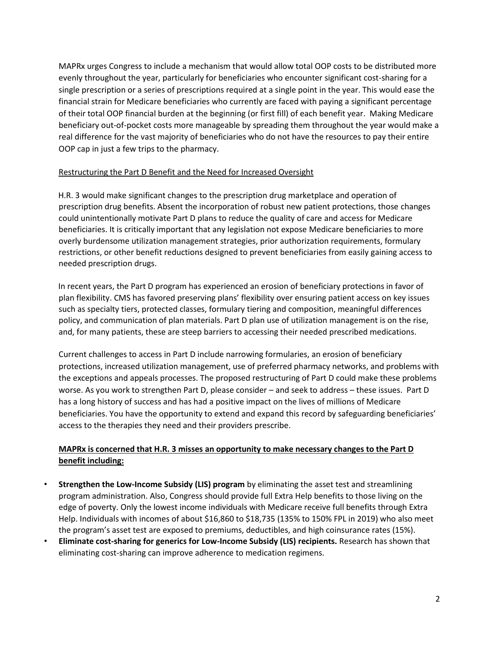MAPRx urges Congress to include a mechanism that would allow total OOP costs to be distributed more evenly throughout the year, particularly for beneficiaries who encounter significant cost-sharing for a single prescription or a series of prescriptions required at a single point in the year. This would ease the financial strain for Medicare beneficiaries who currently are faced with paying a significant percentage of their total OOP financial burden at the beginning (or first fill) of each benefit year. Making Medicare beneficiary out-of-pocket costs more manageable by spreading them throughout the year would make a real difference for the vast majority of beneficiaries who do not have the resources to pay their entire OOP cap in just a few trips to the pharmacy.

## Restructuring the Part D Benefit and the Need for Increased Oversight

H.R. 3 would make significant changes to the prescription drug marketplace and operation of prescription drug benefits. Absent the incorporation of robust new patient protections, those changes could unintentionally motivate Part D plans to reduce the quality of care and access for Medicare beneficiaries. It is critically important that any legislation not expose Medicare beneficiaries to more overly burdensome utilization management strategies, prior authorization requirements, formulary restrictions, or other benefit reductions designed to prevent beneficiaries from easily gaining access to needed prescription drugs.

In recent years, the Part D program has experienced an erosion of beneficiary protections in favor of plan flexibility. CMS has favored preserving plans' flexibility over ensuring patient access on key issues such as specialty tiers, protected classes, formulary tiering and composition, meaningful differences policy, and communication of plan materials. Part D plan use of utilization management is on the rise, and, for many patients, these are steep barriers to accessing their needed prescribed medications.

Current challenges to access in Part D include narrowing formularies, an erosion of beneficiary protections, increased utilization management, use of preferred pharmacy networks, and problems with the exceptions and appeals processes. The proposed restructuring of Part D could make these problems worse. As you work to strengthen Part D, please consider – and seek to address – these issues. Part D has a long history of success and has had a positive impact on the lives of millions of Medicare beneficiaries. You have the opportunity to extend and expand this record by safeguarding beneficiaries' access to the therapies they need and their providers prescribe.

## **MAPRx is concerned that H.R. 3 misses an opportunity to make necessary changes to the Part D benefit including:**

- **Strengthen the Low-Income Subsidy (LIS) program** by eliminating the asset test and streamlining program administration. Also, Congress should provide full Extra Help benefits to those living on the edge of poverty. Only the lowest income individuals with Medicare receive full benefits through Extra Help. Individuals with incomes of about \$16,860 to \$18,735 (135% to 150% FPL in 2019) who also meet the program's asset test are exposed to premiums, deductibles, and high coinsurance rates (15%).
- **Eliminate cost-sharing for generics for Low-Income Subsidy (LIS) recipients.** Research has shown that eliminating cost-sharing can improve adherence to medication regimens.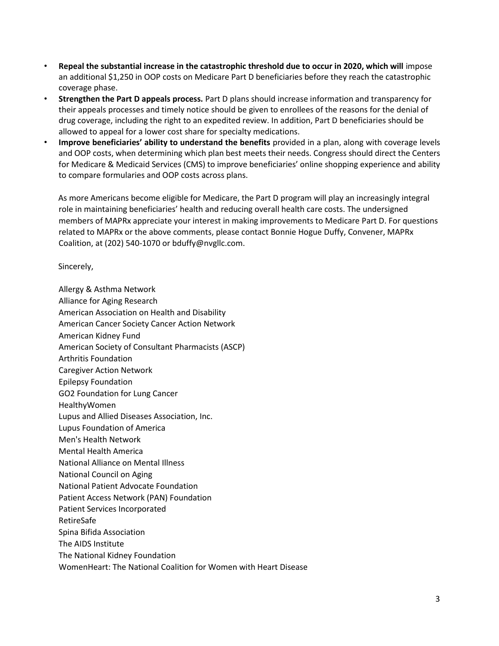- **Repeal the substantial increase in the catastrophic threshold due to occur in 2020, which will** impose an additional \$1,250 in OOP costs on Medicare Part D beneficiaries before they reach the catastrophic coverage phase.
- **Strengthen the Part D appeals process.** Part D plans should increase information and transparency for their appeals processes and timely notice should be given to enrollees of the reasons for the denial of drug coverage, including the right to an expedited review. In addition, Part D beneficiaries should be allowed to appeal for a lower cost share for specialty medications.
- **Improve beneficiaries' ability to understand the benefits** provided in a plan, along with coverage levels and OOP costs, when determining which plan best meets their needs. Congress should direct the Centers for Medicare & Medicaid Services (CMS) to improve beneficiaries' online shopping experience and ability to compare formularies and OOP costs across plans.

As more Americans become eligible for Medicare, the Part D program will play an increasingly integral role in maintaining beneficiaries' health and reducing overall health care costs. The undersigned members of MAPRx appreciate your interest in making improvements to Medicare Part D. For questions related to MAPRx or the above comments, please contact Bonnie Hogue Duffy, Convener, MAPRx Coalition, at (202) 540-1070 or bduffy@nvgllc.com.

Sincerely,

Allergy & Asthma Network Alliance for Aging Research American Association on Health and Disability American Cancer Society Cancer Action Network American Kidney Fund American Society of Consultant Pharmacists (ASCP) Arthritis Foundation Caregiver Action Network Epilepsy Foundation GO2 Foundation for Lung Cancer HealthyWomen Lupus and Allied Diseases Association, Inc. Lupus Foundation of America Men's Health Network Mental Health America National Alliance on Mental Illness National Council on Aging National Patient Advocate Foundation Patient Access Network (PAN) Foundation Patient Services Incorporated RetireSafe Spina Bifida Association The AIDS Institute The National Kidney Foundation WomenHeart: The National Coalition for Women with Heart Disease